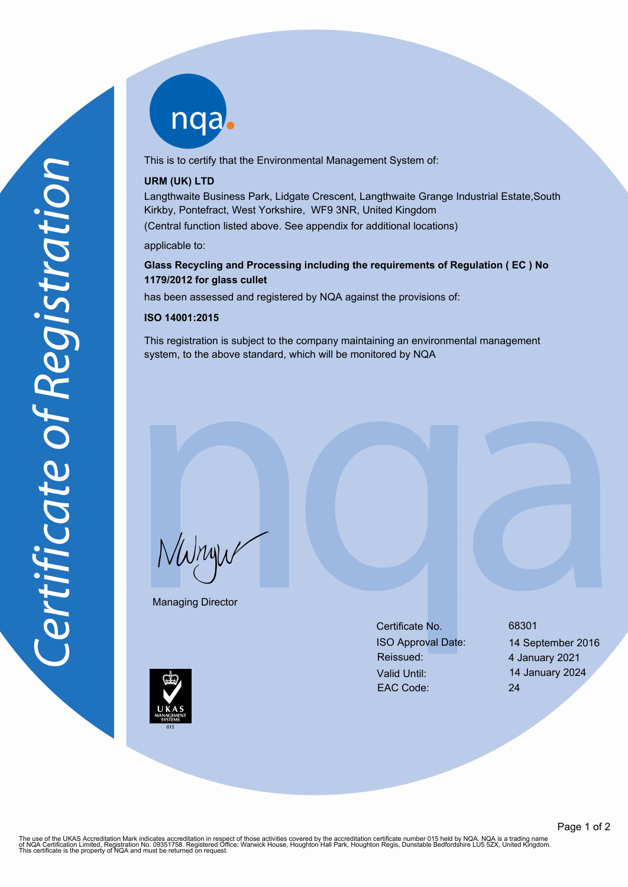nqa

This is to certify that the Environmental Management System of:

# **URM (UK) LTD**

Langthwaite Business Park, Lidgate Crescent, Langthwaite Grange Industrial Estate,South Kirkby, Pontefract, West Yorkshire, WF9 3NR, United Kingdom

(Central function listed above. See appendix for additional locations)

applicable to:

# **Glass Recycling and Processing including the requirements of Regulation ( EC ) No 1179/2012 for glass cullet**

has been assessed and registered by NQA against the provisions of:

### **ISO 14001:2015**

This registration is subject to the company maintaining an environmental management system, to the above standard, which will be monitored by NQA

NWnyw

Managing Director

Certificate No. 68301 ISO Approval Date: 14 September 2016 Reissued: 4 January 2021 Valid Until: 14 January 2024 EAC Code: 24